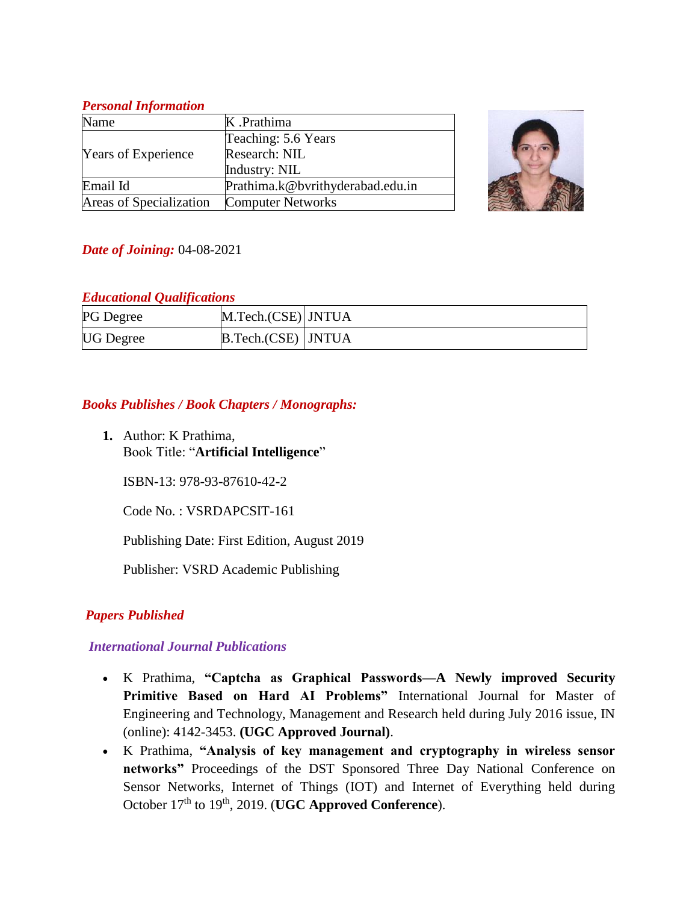### *Personal Information*

| Name                       | K .Prathima                      |  |
|----------------------------|----------------------------------|--|
| <b>Years of Experience</b> | Teaching: 5.6 Years              |  |
|                            | Research: NIL                    |  |
|                            | Industry: NIL                    |  |
| Email Id                   | Prathima.k@bvrithyderabad.edu.in |  |
| Areas of Specialization    | <b>Computer Networks</b>         |  |



## *Date of Joining:* 04-08-2021

### *Educational Qualifications*

| <b>PG</b> Degree | M.Tech.(CSE) JNTUA   |  |
|------------------|----------------------|--|
| <b>UG</b> Degree | B.Tech.(CSE)   JNTUA |  |

## *Books Publishes / Book Chapters / Monographs:*

**1.** Author: K Prathima, Book Title: "**Artificial Intelligence**"

ISBN-13: 978-93-87610-42-2

Code No. : VSRDAPCSIT-161

Publishing Date: First Edition, August 2019

Publisher: VSRD Academic Publishing

## *Papers Published*

## *International Journal Publications*

- K Prathima, **"Captcha as Graphical Passwords—A Newly improved Security Primitive Based on Hard AI Problems"** International Journal for Master of Engineering and Technology, Management and Research held during July 2016 issue, IN (online): 4142-3453. **(UGC Approved Journal)**.
- K Prathima, **"Analysis of key management and cryptography in wireless sensor networks"** Proceedings of the DST Sponsored Three Day National Conference on Sensor Networks, Internet of Things (IOT) and Internet of Everything held during October 17<sup>th</sup> to 19<sup>th</sup>, 2019. (**UGC Approved Conference**).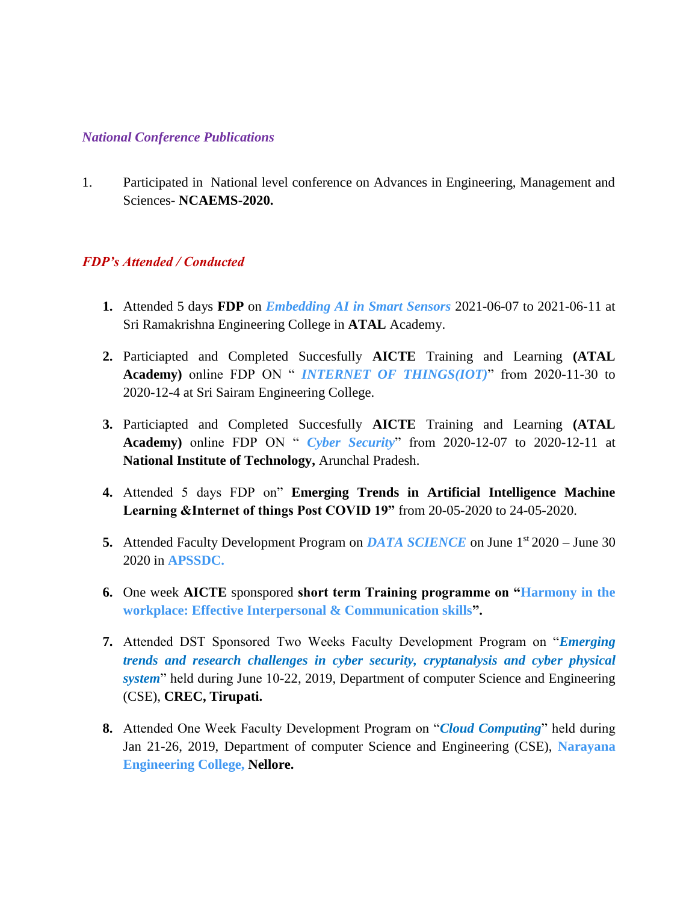#### *National Conference Publications*

1. Participated in National level conference on Advances in Engineering, Management and Sciences- **NCAEMS-2020.**

#### *FDP's Attended / Conducted*

- **1.** Attended 5 days **FDP** on *Embedding AI in Smart Sensors* 2021-06-07 to 2021-06-11 at Sri Ramakrishna Engineering College in **ATAL** Academy.
- **2.** Particiapted and Completed Succesfully **AICTE** Training and Learning **(ATAL Academy)** online FDP ON " *INTERNET OF THINGS(IOT)*" from 2020-11-30 to 2020-12-4 at Sri Sairam Engineering College.
- **3.** Particiapted and Completed Succesfully **AICTE** Training and Learning **(ATAL Academy)** online FDP ON " *Cyber Security*" from 2020-12-07 to 2020-12-11 at **National Institute of Technology,** Arunchal Pradesh.
- **4.** Attended 5 days FDP on" **Emerging Trends in Artificial Intelligence Machine Learning &Internet of things Post COVID 19"** from 20-05-2020 to 24-05-2020.
- **5.** Attended Faculty Development Program on *DATA SCIENCE* on June 1st 2020 June 30 2020 in **APSSDC.**
- **6.** One week **AICTE** sponspored **short term Training programme on "Harmony in the workplace: Effective Interpersonal & Communication skills".**
- **7.** Attended DST Sponsored Two Weeks Faculty Development Program on "*Emerging trends and research challenges in cyber security, cryptanalysis and cyber physical system*" held during June 10-22, 2019, Department of computer Science and Engineering (CSE), **CREC, Tirupati.**
- **8.** Attended One Week Faculty Development Program on "*Cloud Computing*" held during Jan 21-26, 2019, Department of computer Science and Engineering (CSE), **Narayana Engineering College, Nellore.**